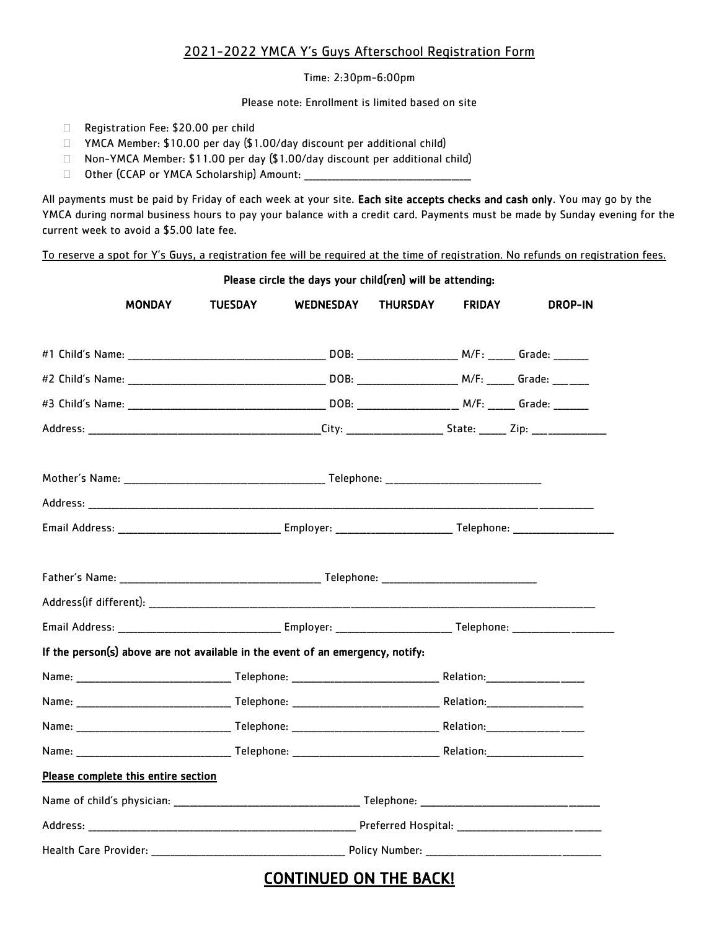## 2021-2022 YMCA Y's Guys Afterschool Registration Form

Time: 2:30pm-6:00pm

Please note: Enrollment is limited based on site

- □ Registration Fee: \$20.00 per child
- □ YMCA Member: \$10.00 per day (\$1.00/day discount per additional child)
- □ Non-YMCA Member: \$11.00 per day (\$1.00/day discount per additional child)
- □ Other (CCAP or YMCA Scholarship) Amount: \_\_\_\_\_\_

All payments must be paid by Friday of each week at your site. Each site accepts checks and cash only. You may go by the YMCA during normal business hours to pay your balance with a credit card. Payments must be made by Sunday evening for the current week to avoid a \$5.00 late fee.

To reserve a spot for Y's Guys, a registration fee will be required at the time of registration. No refunds on registration fees.

Please circle the days your child(ren) will be attending: MONDAY TUESDAY WEDNESDAY THURSDAY FRIDAY DROP-IN #1 Child's Name: etc. and the set of the DOB: the M/F: Grade:  $M/F$ : Grade:  $M/F$ :  $G$ #2 Child's Name: \_\_\_\_\_\_\_\_\_\_\_\_\_\_\_\_\_\_\_\_\_\_\_\_\_\_\_\_\_\_\_\_\_\_\_\_\_\_\_\_\_\_\_\_\_\_\_\_\_\_\_ DOB: \_\_\_\_\_\_\_\_\_\_\_\_\_\_\_\_\_\_\_\_\_\_\_\_\_\_ M/F: \_\_\_\_\_\_\_ Grade: \_\_\_\_\_\_\_\_\_ #3 Child's Name: \_\_\_\_\_\_\_\_\_\_\_\_\_\_\_\_\_\_\_\_\_\_\_\_\_\_\_\_\_\_\_\_\_\_\_\_\_\_\_\_\_\_\_\_\_\_\_\_\_\_\_ DOB: \_\_\_\_\_\_\_\_\_\_\_\_\_\_\_\_\_\_\_\_\_\_\_\_\_\_ M/F: \_\_\_\_\_\_\_ Grade: \_\_\_\_\_\_\_\_\_ Address: \_\_\_\_\_\_\_\_\_\_\_\_\_\_\_\_\_\_\_\_\_\_\_\_\_\_\_\_\_\_\_\_\_\_\_\_\_\_\_\_\_\_\_\_\_\_\_\_\_\_\_\_\_\_\_\_\_\_\_\_City: \_\_\_\_\_\_\_\_\_\_\_\_\_\_\_\_\_\_\_\_\_\_\_\_\_ State: \_\_\_\_\_\_\_ Zip: \_\_\_\_\_\_\_\_\_\_\_\_\_\_\_\_\_\_\_ Mother's Name: \_\_\_\_\_\_\_\_\_\_\_\_\_\_\_\_\_\_\_\_\_\_\_\_\_\_\_\_\_\_\_\_\_\_\_\_\_\_\_\_\_\_\_\_\_\_\_\_\_\_\_\_ Telephone: \_\_\_\_\_\_\_\_\_\_\_\_\_\_\_\_\_\_\_\_\_\_\_\_\_\_\_\_\_\_\_\_\_\_\_\_\_\_\_\_ Address: \_\_\_\_\_\_\_\_\_\_\_\_\_\_\_\_\_\_\_\_\_\_\_\_\_\_\_\_\_\_\_\_\_\_\_\_\_\_\_\_\_\_\_\_\_\_\_\_\_\_\_\_\_\_\_\_\_\_\_\_\_\_\_\_\_\_\_\_\_\_\_\_\_\_\_\_\_\_\_\_\_\_\_\_\_\_\_\_\_\_\_\_\_\_\_\_\_\_\_\_\_\_\_\_\_\_\_\_\_\_\_\_\_\_\_\_\_\_\_\_\_\_\_\_\_\_\_\_\_\_ Email Address: \_\_\_\_\_\_\_\_\_\_\_\_\_\_\_\_\_\_\_\_\_\_\_\_\_\_\_\_\_\_\_\_\_\_\_\_\_\_\_\_\_\_ Employer: \_\_\_\_\_\_\_\_\_\_\_\_\_\_\_\_\_\_\_\_\_\_\_\_\_\_\_\_\_\_ Telephone: \_\_\_\_\_\_\_\_\_\_\_\_\_\_\_\_\_\_\_\_\_\_\_\_\_\_ Father's Name: \_\_\_\_\_\_\_\_\_\_\_\_\_\_\_\_\_\_\_\_\_\_\_\_\_\_\_\_\_\_\_\_\_\_\_\_\_\_\_\_\_\_\_\_\_\_\_\_\_\_\_\_ Telephone: \_\_\_\_\_\_\_\_\_\_\_\_\_\_\_\_\_\_\_\_\_\_\_\_\_\_\_\_\_\_\_\_\_\_\_\_\_\_\_\_  $\mathsf{Address}(\text{if different}):$ Email Address: entitled and the employer: which are the Telephone:  $\blacksquare$  Telephone:  $\blacksquare$ If the person(s) above are not available in the event of an emergency, notify: Name: \_\_\_\_\_\_\_\_\_\_\_\_\_\_\_\_\_\_\_\_\_\_\_\_\_\_\_\_\_\_\_\_\_\_\_\_\_\_\_\_ Telephone: \_\_\_\_\_\_\_\_\_\_\_\_\_\_\_\_\_\_\_\_\_\_\_\_\_\_\_\_\_\_\_\_\_\_\_\_\_\_ Relation:\_\_\_\_\_\_\_\_\_\_\_\_\_\_\_\_\_\_\_\_\_\_\_\_\_ Name: \_\_\_\_\_\_\_\_\_\_\_\_\_\_\_\_\_\_\_\_\_\_\_\_\_\_\_\_\_\_\_\_\_\_\_\_\_\_\_\_ Telephone: \_\_\_\_\_\_\_\_\_\_\_\_\_\_\_\_\_\_\_\_\_\_\_\_\_\_\_\_\_\_\_\_\_\_\_\_\_\_ Relation:\_\_\_\_\_\_\_\_\_\_\_\_\_\_\_\_\_\_\_\_\_\_\_\_\_ Name: \_\_\_\_\_\_\_\_\_\_\_\_\_\_\_\_\_\_\_\_\_\_\_\_\_\_\_\_\_\_\_\_\_\_\_\_\_\_\_\_ Telephone: \_\_\_\_\_\_\_\_\_\_\_\_\_\_\_\_\_\_\_\_\_\_\_\_\_\_\_\_\_\_\_\_\_\_\_\_\_\_ Relation:\_\_\_\_\_\_\_\_\_\_\_\_\_\_\_\_\_\_\_\_\_\_\_\_\_ Name: \_\_\_\_\_\_\_\_\_\_\_\_\_\_\_\_\_\_\_\_\_\_\_\_\_\_\_\_\_\_\_\_\_\_\_\_\_\_\_\_ Telephone: \_\_\_\_\_\_\_\_\_\_\_\_\_\_\_\_\_\_\_\_\_\_\_\_\_\_\_\_\_\_\_\_\_\_\_\_\_\_ Relation:\_\_\_\_\_\_\_\_\_\_\_\_\_\_\_\_\_\_\_\_\_\_\_\_\_ Please complete this entire section Name of child's physician: the control of the control of the control of the control of the control of the control of the control of the control of the control of the control of the control of the control of the control of Address: \_\_\_\_\_\_\_\_\_\_\_\_\_\_\_\_\_\_\_\_\_\_\_\_\_\_\_\_\_\_\_\_\_\_\_\_\_\_\_\_\_\_\_\_\_\_\_\_\_\_\_\_\_\_\_\_\_\_\_\_\_\_\_\_\_\_\_\_\_ Preferred Hospital: \_\_\_\_\_\_\_\_\_\_\_\_\_\_\_\_\_\_\_\_\_\_\_\_\_\_\_\_\_\_\_\_\_\_\_\_\_ Health Care Provider: \_\_\_\_\_\_\_\_\_\_\_\_\_\_\_\_\_\_\_\_\_\_\_\_\_\_\_\_\_\_\_\_\_\_\_\_\_\_\_\_\_\_\_\_\_\_\_\_\_\_ Policy Number: \_\_\_\_\_\_\_\_\_\_\_\_\_\_\_\_\_\_\_\_\_\_\_\_\_\_\_\_\_\_\_\_\_\_\_\_\_\_\_\_\_\_\_\_\_

## CONTINUED ON THE BACK!